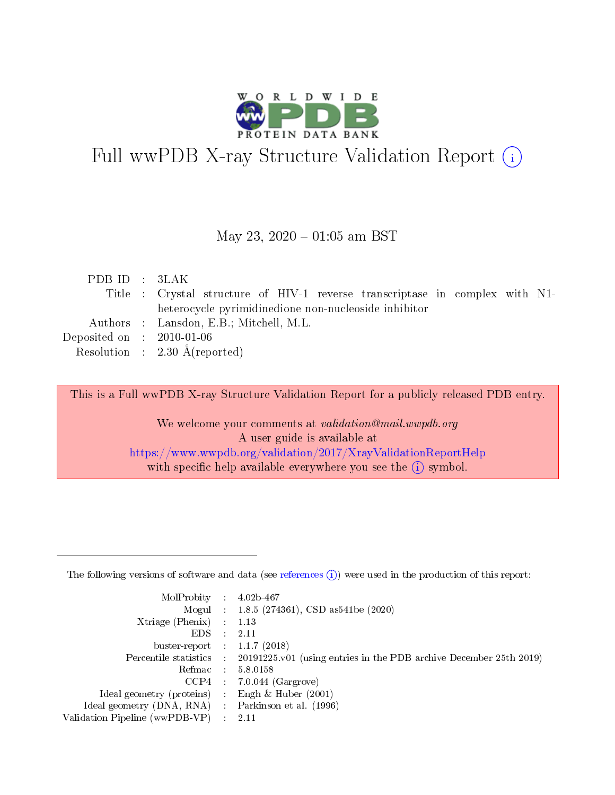

# Full wwPDB X-ray Structure Validation Report (i)

### May 23,  $2020 - 01:05$  am BST

| PDBID : 3LAK                         |                                                                              |
|--------------------------------------|------------------------------------------------------------------------------|
|                                      | Title : Crystal structure of HIV-1 reverse transcriptase in complex with N1- |
|                                      | heterocycle pyrimidinedione non-nucleoside inhibitor                         |
|                                      | Authors : Lansdon, E.B.; Mitchell, M.L.                                      |
| Deposited on $\therefore$ 2010-01-06 |                                                                              |
|                                      | Resolution : $2.30 \text{ Å}$ (reported)                                     |

This is a Full wwPDB X-ray Structure Validation Report for a publicly released PDB entry.

We welcome your comments at validation@mail.wwpdb.org A user guide is available at <https://www.wwpdb.org/validation/2017/XrayValidationReportHelp> with specific help available everywhere you see the  $(i)$  symbol.

The following versions of software and data (see [references](https://www.wwpdb.org/validation/2017/XrayValidationReportHelp#references)  $(1)$ ) were used in the production of this report:

| $MolProbability$ 4.02b-467                        |                     |                                                                                            |
|---------------------------------------------------|---------------------|--------------------------------------------------------------------------------------------|
|                                                   |                     | Mogul : $1.8.5$ (274361), CSD as 541be (2020)                                              |
| $X$ triage (Phenix) :                             |                     | 1.13                                                                                       |
| EDS –                                             | $\mathcal{L}^{\pm}$ | 2.11                                                                                       |
| buster-report : $1.1.7$ (2018)                    |                     |                                                                                            |
|                                                   |                     | Percentile statistics : 20191225.v01 (using entries in the PDB archive December 25th 2019) |
|                                                   |                     | Refmac $5.8.0158$                                                                          |
|                                                   |                     | $CCP4$ 7.0.044 (Gargrove)                                                                  |
| Ideal geometry (proteins) :                       |                     | Engh $\&$ Huber (2001)                                                                     |
| Ideal geometry (DNA, RNA) Parkinson et al. (1996) |                     |                                                                                            |
| Validation Pipeline (wwPDB-VP) : 2.11             |                     |                                                                                            |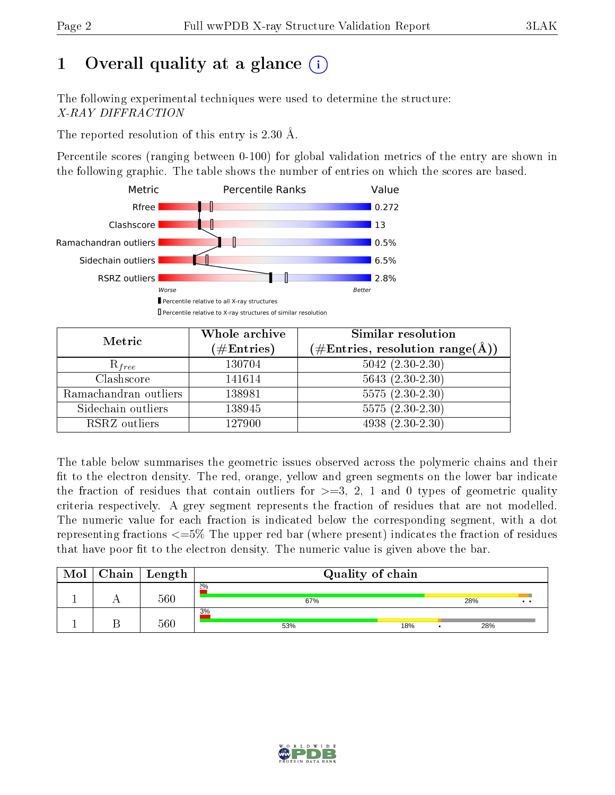# 1 [O](https://www.wwpdb.org/validation/2017/XrayValidationReportHelp#overall_quality)verall quality at a glance  $(i)$

The following experimental techniques were used to determine the structure: X-RAY DIFFRACTION

The reported resolution of this entry is 2.30 Å.

Percentile scores (ranging between 0-100) for global validation metrics of the entry are shown in the following graphic. The table shows the number of entries on which the scores are based.



| Metric                | Whole archive<br>$(\#\text{Entries})$ | Similar resolution<br>$(\#\text{Entries},\,\text{resolution}\,\,\text{range}(\textup{\AA}))$ |
|-----------------------|---------------------------------------|----------------------------------------------------------------------------------------------|
| $R_{free}$            | 130704                                | $5042$ $(2.30-2.30)$                                                                         |
| Clashscore            | 141614                                | $5643(2.30-2.30)$                                                                            |
| Ramachandran outliers | 138981                                | $5575(2.30-2.30)$                                                                            |
| Sidechain outliers    | 138945                                | $5575(2.30-2.30)$                                                                            |
| RSRZ outliers         | 127900                                | $4938(2.30-2.30)$                                                                            |

The table below summarises the geometric issues observed across the polymeric chains and their fit to the electron density. The red, orange, yellow and green segments on the lower bar indicate the fraction of residues that contain outliers for  $>=3, 2, 1$  and 0 types of geometric quality criteria respectively. A grey segment represents the fraction of residues that are not modelled. The numeric value for each fraction is indicated below the corresponding segment, with a dot representing fractions  $\epsilon=5\%$  The upper red bar (where present) indicates the fraction of residues that have poor fit to the electron density. The numeric value is given above the bar.

| Mol | $Chain \  Length$ | Quality of chain |  |     |                       |  |
|-----|-------------------|------------------|--|-----|-----------------------|--|
|     | 560               | 2%<br>67%        |  | 28% | $\bullet\quad\bullet$ |  |
|     | 560               | 3%<br>53%<br>18% |  | 28% |                       |  |

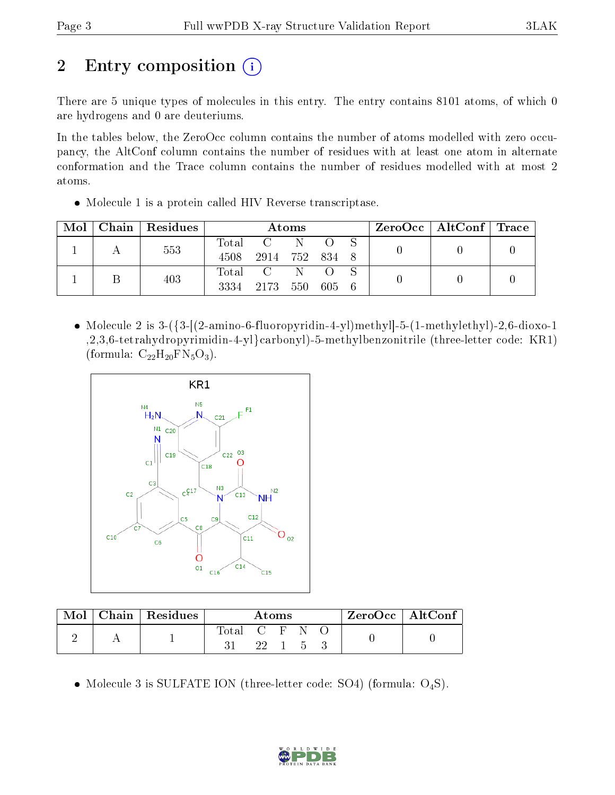# 2 Entry composition (i)

There are 5 unique types of molecules in this entry. The entry contains 8101 atoms, of which 0 are hydrogens and 0 are deuteriums.

In the tables below, the ZeroOcc column contains the number of atoms modelled with zero occupancy, the AltConf column contains the number of residues with at least one atom in alternate conformation and the Trace column contains the number of residues modelled with at most 2 atoms.

Molecule 1 is a protein called HIV Reverse transcriptase.

| Mol |  | Chain   Residues | Atoms |                |     |       |  | ZeroOcc   AltConf   Trace |  |  |
|-----|--|------------------|-------|----------------|-----|-------|--|---------------------------|--|--|
|     |  | 553              | Total | $\mathbf{C}$   | N   |       |  |                           |  |  |
|     |  |                  | 4508  | 2914 752 834 8 |     |       |  |                           |  |  |
|     |  | 403              | Total |                | N   |       |  |                           |  |  |
|     |  |                  | 3334  | 2173           | 550 | 605 6 |  |                           |  |  |

• Molecule 2 is  $3-(3-[2-amin-6-fluoropyridin-4-yl)methyl-5-(1-methylethyl)-2,6-dioxo-1$ ,2,3,6-tetrahydropyrimidin-4-yl}carbonyl)-5-methylbenzonitrile (three-letter code: KR1) (formula:  $C_{22}H_{20}FN_5O_3$ ).



| $\text{Mol}$ | $\vert$ Chain $\vert$ Residues $\vert$ | Atoms         |  |  | $\mid$ ZeroOcc $\mid$ AltConf $\mid$ |  |  |  |
|--------------|----------------------------------------|---------------|--|--|--------------------------------------|--|--|--|
|              |                                        | Total C F N = |  |  | 22 1 5                               |  |  |  |

• Molecule 3 is SULFATE ION (three-letter code: SO4) (formula:  $O_4S$ ).

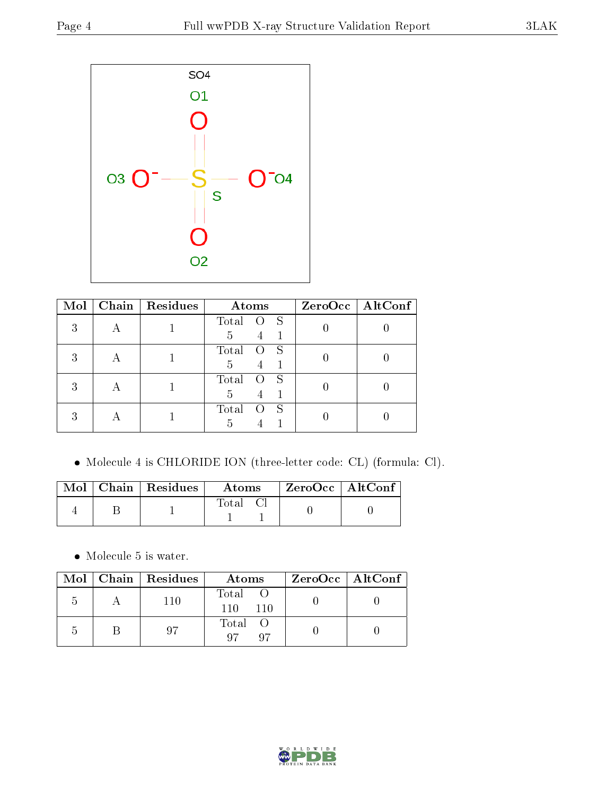

| Mol |   | Chain   $Residues$ | Atoms               | ZeroOcc   AltConf |
|-----|---|--------------------|---------------------|-------------------|
|     | Н |                    | Total O S           |                   |
|     |   |                    | $4 -$<br>5          |                   |
|     |   |                    | Total<br>O S        |                   |
|     | Н |                    | 5<br>4              |                   |
|     |   |                    | Total<br>$O_S$      |                   |
|     | A |                    | $\overline{4}$<br>5 |                   |
|     |   |                    | Total<br>- S        |                   |
|     |   |                    | 5                   |                   |

Molecule 4 is CHLORIDE ION (three-letter code: CL) (formula: Cl).

|  | Mol   Chain   Residues | Atoms | $\mid$ ZeroOcc $\mid$ AltConf $\mid$ |  |
|--|------------------------|-------|--------------------------------------|--|
|  |                        | Total |                                      |  |

 $\bullet\,$  Molecule 5 is water.

|               | Mol   Chain   Residues | Atoms               | $ZeroOcc \   \ AltConf \  $ |
|---------------|------------------------|---------------------|-----------------------------|
| $\mathcal{L}$ | 110                    | Total<br>110<br>110 |                             |
|               | 97                     | Total O<br>Q7<br>07 |                             |

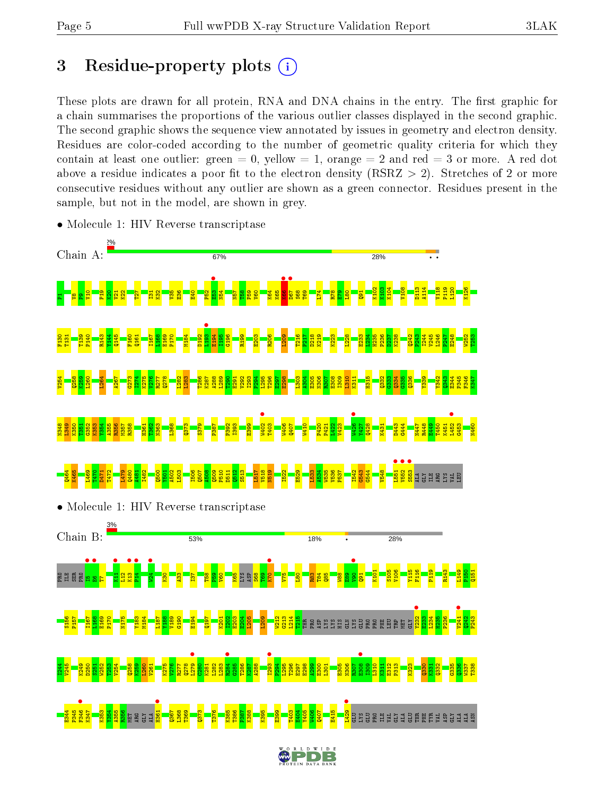# 3 Residue-property plots  $(i)$

These plots are drawn for all protein, RNA and DNA chains in the entry. The first graphic for a chain summarises the proportions of the various outlier classes displayed in the second graphic. The second graphic shows the sequence view annotated by issues in geometry and electron density. Residues are color-coded according to the number of geometric quality criteria for which they contain at least one outlier: green  $= 0$ , yellow  $= 1$ , orange  $= 2$  and red  $= 3$  or more. A red dot above a residue indicates a poor fit to the electron density (RSRZ  $> 2$ ). Stretches of 2 or more consecutive residues without any outlier are shown as a green connector. Residues present in the sample, but not in the model, are shown in grey.



• Molecule 1: HIV Reverse transcriptase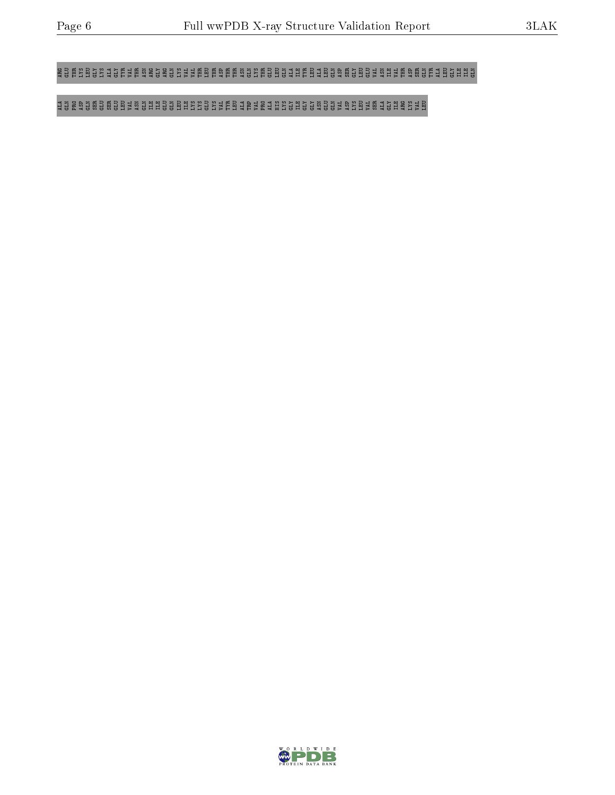### ARG GLU THR LYS LEU GLY LYS ALA GLY TYR VAL THR ASN ARG GLY ARG GLN LYS VAL VAL THR LEU THR ASP THR THR ASN GLN LYS THR GLU LEU GLN ALA ILE TYR LEU ALA LEU GLN ASP SER GLY LEU GLU VAL ASN ILE VAL THR ASP SER GLN TYR ALA LEU GLY ILE ILE GLN

### ALA GLN PRO ASP GLN SER GLU SER GLU LEU VAL ASN GLN ILE ILE GLU GLN LEU ILE LYS LYS GLU LYS VAL TYR LEU ALA TRP VAL PRO ALA HIS LYS GLY ILE GLY GLY ASN GLU GLN VAL ASP LYS LEU VAL SER ALA GLY ILE ARG LYS VAL LEU

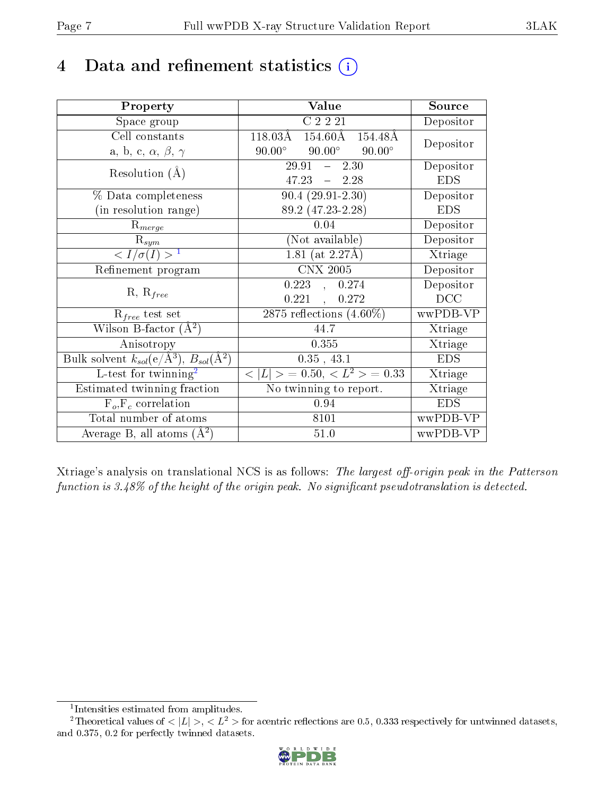# 4 Data and refinement statistics  $(i)$

| Property                                                                | Value                                             | Source     |
|-------------------------------------------------------------------------|---------------------------------------------------|------------|
| Space group                                                             | C2221                                             | Depositor  |
| Cell constants                                                          | 118.03Å<br>$154.60\text{\AA}$<br>154.48Å          | Depositor  |
| a, b, c, $\alpha$ , $\beta$ , $\gamma$                                  | $90.00^\circ$<br>$90.00^{\circ}$<br>$90.00^\circ$ |            |
| Resolution $(A)$                                                        | $29.91 - 2.30$                                    | Depositor  |
|                                                                         | $47.23 - 2.28$                                    | <b>EDS</b> |
| % Data completeness                                                     | $90.4(29.91-2.30)$                                | Depositor  |
| (in resolution range)                                                   | 89.2 (47.23-2.28)                                 | <b>EDS</b> |
| $R_{merge}$                                                             | 0.04                                              | Depositor  |
| $\mathrm{R}_{sym}$                                                      | (Not available)                                   | Depositor  |
| $\langle I/\sigma(I) \rangle^{-1}$                                      | $1.81$ (at 2.27Å)                                 | Xtriage    |
| Refinement program                                                      | <b>CNX 2005</b>                                   | Depositor  |
| $R, R_{free}$                                                           | $0.223$ , $0.274$                                 | Depositor  |
|                                                                         | 0.221,<br>0.272                                   | DCC        |
| $\mathcal{R}_{free}$ test set                                           | $2875$ reflections $(4.60\%)$                     | wwPDB-VP   |
| Wilson B-factor $(A^2)$                                                 | 44.7                                              | Xtriage    |
| Anisotropy                                                              | 0.355                                             | Xtriage    |
| Bulk solvent $k_{sol}(\mathrm{e}/\mathrm{A}^3),\,B_{sol}(\mathrm{A}^2)$ | 0.35, 43.1                                        | <b>EDS</b> |
| L-test for twinning <sup>2</sup>                                        | $< L >$ = 0.50, $< L^2 >$ = 0.33                  | Xtriage    |
| Estimated twinning fraction                                             | No twinning to report.                            | Xtriage    |
| $F_o, F_c$ correlation                                                  | 0.94                                              | <b>EDS</b> |
| Total number of atoms                                                   | 8101                                              | wwPDB-VP   |
| Average B, all atoms $(A^2)$                                            | 51.0                                              | wwPDB-VP   |

Xtriage's analysis on translational NCS is as follows: The largest off-origin peak in the Patterson function is  $3.48\%$  of the height of the origin peak. No significant pseudotranslation is detected.

<sup>&</sup>lt;sup>2</sup>Theoretical values of  $\langle |L| \rangle$ ,  $\langle L^2 \rangle$  for acentric reflections are 0.5, 0.333 respectively for untwinned datasets, and 0.375, 0.2 for perfectly twinned datasets.



<span id="page-6-1"></span><span id="page-6-0"></span><sup>1</sup> Intensities estimated from amplitudes.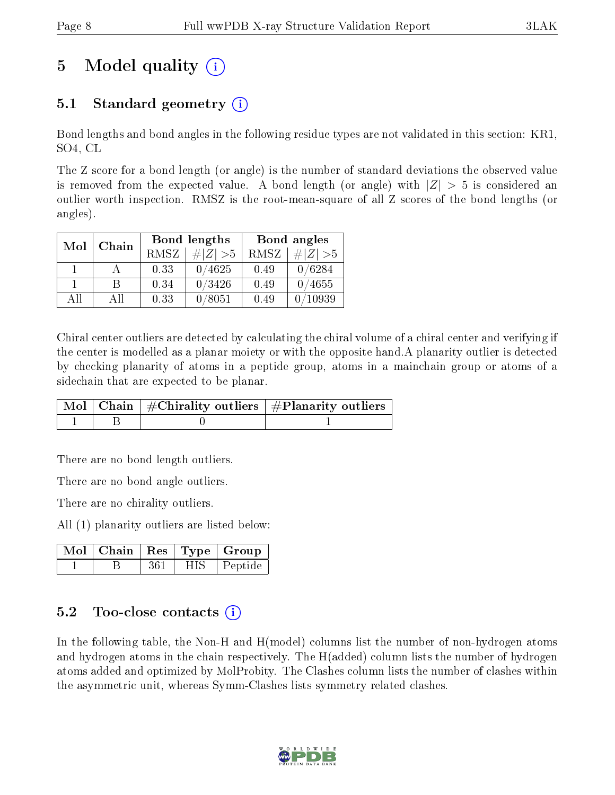# 5 Model quality  $(i)$

## 5.1 Standard geometry (i)

Bond lengths and bond angles in the following residue types are not validated in this section: KR1, SO4, CL

The Z score for a bond length (or angle) is the number of standard deviations the observed value is removed from the expected value. A bond length (or angle) with  $|Z| > 5$  is considered an outlier worth inspection. RMSZ is the root-mean-square of all Z scores of the bond lengths (or angles).

| Mol | Chain |             | <b>Bond lengths</b> | Bond angles |             |  |
|-----|-------|-------------|---------------------|-------------|-------------|--|
|     |       | <b>RMSZ</b> | $\# Z  > 5$         | RMSZ        | $\# Z  > 5$ |  |
|     |       | 0.33        | 0/4625              | 0.49        | 0/6284      |  |
|     | R     | 0.34        | 0/3426              | 0.49        | 0/4655      |  |
| AH  | АH    | 0.33        | 0/8051              | 0.49        | 10939       |  |

Chiral center outliers are detected by calculating the chiral volume of a chiral center and verifying if the center is modelled as a planar moiety or with the opposite hand.A planarity outlier is detected by checking planarity of atoms in a peptide group, atoms in a mainchain group or atoms of a sidechain that are expected to be planar.

|  | $\mid$ Mol $\mid$ Chain $\mid$ #Chirality outliers $\mid$ #Planarity outliers $\mid$ |
|--|--------------------------------------------------------------------------------------|
|  |                                                                                      |

There are no bond length outliers.

There are no bond angle outliers.

There are no chirality outliers.

All (1) planarity outliers are listed below:

|  |     |            | $\mid$ Mol $\mid$ Chain $\mid$ Res $\mid$ Type $\mid$ Group |
|--|-----|------------|-------------------------------------------------------------|
|  | 361 | <b>HIS</b> | Peptide                                                     |

## $5.2$  Too-close contacts  $(i)$

In the following table, the Non-H and H(model) columns list the number of non-hydrogen atoms and hydrogen atoms in the chain respectively. The H(added) column lists the number of hydrogen atoms added and optimized by MolProbity. The Clashes column lists the number of clashes within the asymmetric unit, whereas Symm-Clashes lists symmetry related clashes.

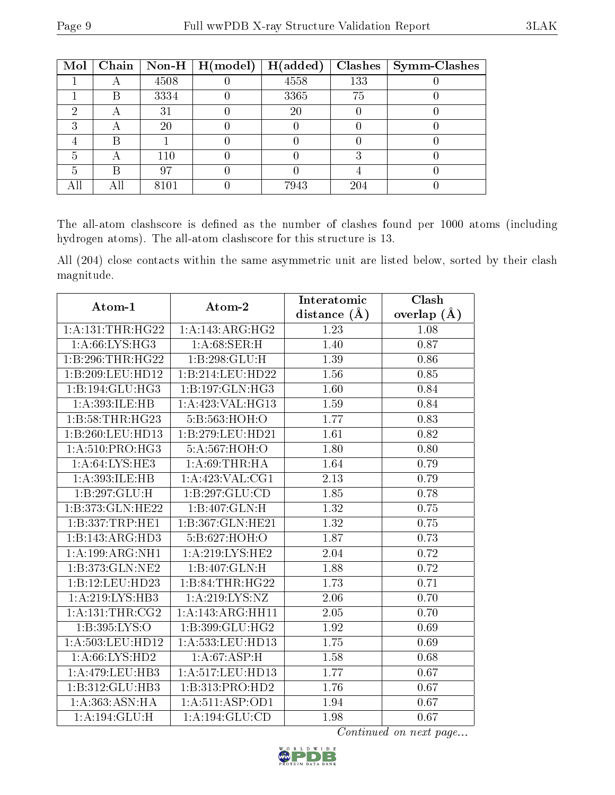| Mol | Chain                     |      | $\vert$ Non-H $\vert$ H(model) | H(added) |     | $Clashes$   Symm-Clashes |
|-----|---------------------------|------|--------------------------------|----------|-----|--------------------------|
|     |                           | 4508 |                                | 4558     | 133 |                          |
|     | B                         | 3334 |                                | 3365     | 75  |                          |
| ച   | $\forall$                 | 31   |                                | 20       |     |                          |
| ົ   | $\boldsymbol{\mathsf{A}}$ | 20   |                                |          |     |                          |
|     | В                         |      |                                |          |     |                          |
| 5   |                           | 110  |                                |          |     |                          |
| 5   | В                         | 97   |                                |          |     |                          |
|     | Αll                       | 8101 |                                | 7943     | 204 |                          |

The all-atom clashscore is defined as the number of clashes found per 1000 atoms (including hydrogen atoms). The all-atom clashscore for this structure is 13.

All (204) close contacts within the same asymmetric unit are listed below, sorted by their clash magnitude.

| Atom-1               | Atom-2                       | Interatomic    | Clash         |
|----------------------|------------------------------|----------------|---------------|
|                      |                              | distance $(A)$ | overlap $(A)$ |
| 1: A: 131: THR: HG22 | $1:A:143:A\overline{RG:HG2}$ | 1.23           | 1.08          |
| 1: A:66: LYS: HG3    | 1: A:68:SER:H                | 1.40           | 0.87          |
| 1:B:296:THR:HG22     | 1:B:298:GLU:H                | 1.39           | 0.86          |
| 1:B:209:LEU:HD12     | 1:B:214:LEU:HD22             | 1.56           | 0.85          |
| 1:B:194:GLU:HG3      | 1:B:197:GLN:HG3              | 1.60           | 0.84          |
| 1:A:393:ILE:HB       | 1:A:423:VAL:HG13             | 1.59           | 0.84          |
| 1:B:58:THR:HG23      | 5: B: 563: HOH:O             | 1.77           | 0.83          |
| 1:B:260:LEU:HD13     | 1:B:279:LEU:HD21             | 1.61           | 0.82          |
| 1: A:510: PRO:HG3    | 5:A:567:HOH:O                | 1.80           | 0.80          |
| 1: A:64:LYS:HE3      | 1: A:69:THR:HA               | 1.64           | 0.79          |
| 1:A:393:ILE:HB       | 1: A:423: VAL:CG1            | 2.13           | 0.79          |
| 1:B:297:GLU:H        | 1:B:297:GLU:CD               | 1.85           | 0.78          |
| 1:B:373:GLN:HE22     | 1:B:407:GLN:H                | 1.32           | 0.75          |
| 1:B:337:TRP:HE1      | 1:B:367:GLN:HE21             | 1.32           | $0.75\,$      |
| 1:B:143:ARG:HD3      | 5:B:627:HOH:O                | 1.87           | 0.73          |
| 1:A:199:ARG:NH1      | 1: A:219: LYS: HE2           | 2.04           | 0.72          |
| 1:B:373:GLN:NE2      | 1:B:407:GLN:H                | 1.88           | 0.72          |
| 1:B:12:LEU:HD23      | 1:B:84:THR:HG22              | 1.73           | 0.71          |
| 1: A:219: LYS: HB3   | 1: A:219: LYS: NZ            | 2.06           | 0.70          |
| 1: A: 131: THE: CG2  | 1:A:143:ARG:HH11             | 2.05           | 0.70          |
| 1:B:395:LYS:O        | 1:B:399:GLU:HG2              | 1.92           | 0.69          |
| 1:A:503:LEU:HD12     | 1:A:533:LEU:HD13             | 1.75           | 0.69          |
| 1: A:66: LYS:HD2     | 1: A:67: ASP:H               | 1.58           | 0.68          |
| 1:A:479:LEU:HB3      | 1:A:517:LEU:HD13             | 1.77           | 0.67          |
| 1:B:312:GLU:HB3      | 1:B:313:PRO:HD2              | 1.76           | 0.67          |
| 1: A: 363: ASN: HA   | 1: A:511: ASP:OD1            | 1.94           | 0.67          |
| 1: A:194: GLU: H     | 1:A:194:GLU:CD               | 1.98           | 0.67          |

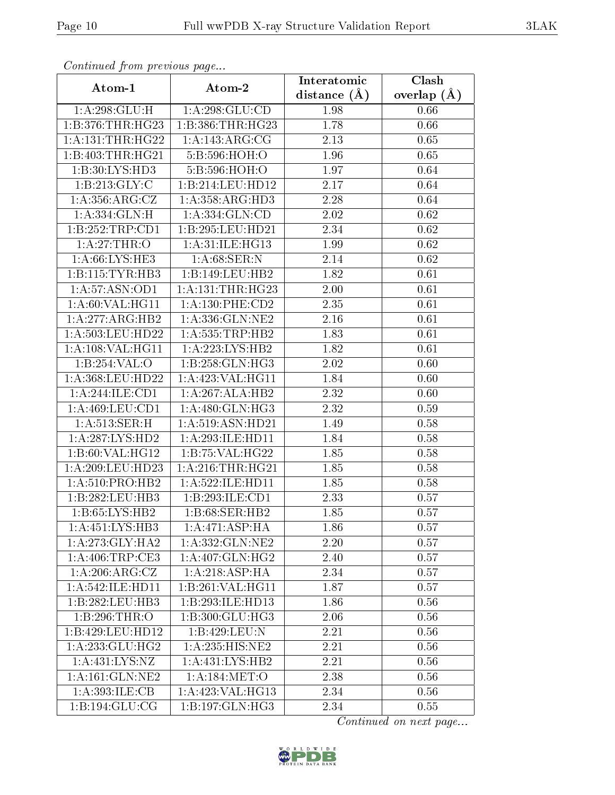| Communa from previous page     |                             | Interatomic      | Clash         |
|--------------------------------|-----------------------------|------------------|---------------|
| Atom-1                         | Atom-2                      | distance $(\AA)$ | overlap $(A)$ |
| 1: A:298: GLU: H               | 1: A:298: GLU:CD            | 1.98             | 0.66          |
| 1:B:376:THR:HG23               | 1:B:386:THR:HG23            | 1.78             | 0.66          |
| 1: A: 131: THR: HG22           | 1: A:143: ARG: CG           | 2.13             | 0.65          |
| 1:B:403:THR:HG21               | 5:B:596:HOH:O               | 1.96             | 0.65          |
| 1:B:30:LYS:HD3                 | 5:B:596:HOH:O               | 1.97             | 0.64          |
| 1:B:213:GLY:C                  | 1:B:214:LEU:HDI2            | 2.17             | 0.64          |
| 1: A: 356: ARG: CZ             | 1:A:358:ARG:HD3             | 2.28             | 0.64          |
| 1: A: 334: GLN: H              | 1: A: 334: GLN: CD          | 2.02             | 0.62          |
| 1:B:252:TRP:CD1                | 1:B:295:LEU:HD21            | 2.34             | 0.62          |
| 1: A:27:THR:O                  | 1: A:31: ILE: HG13          | 1.99             | 0.62          |
| $1: A:66: LYS: \overline{HE3}$ | 1: A:68: SER: N             | 2.14             | 0.62          |
| 1:B:115:TYR:HB3                | 1:B:149:LEU:HB2             | 1.82             | 0.61          |
| 1:A:57:ASN:OD1                 | 1: A:131:THR:HG23           | 2.00             | 0.61          |
| 1:A:60:VAL:HG11                | 1: A: 130: PHE: CD2         | 2.35             | 0.61          |
| 1:A:277:ARG:HB2                | 1:A:336:GLN:NE2             | 2.16             | 0.61          |
| 1:A:503:LEU:HD22               | $1:$ A:535:TRP:HB2          | 1.83             | 0.61          |
| 1:A:108:VAL:HG11               | 1:A:223:LYS:HB2             | 1.82             | 0.61          |
| 1:B:254:VAL:O                  | 1:B:258:GLN:HG3             | 2.02             | 0.60          |
| 1:A:368:LEU:HD22               | 1:A:423:VAL:HG11            | 1.84             | 0.60          |
| 1:A:244:ILE:CD1                | 1:A:267:ALA:HB2             | 2.32             | 0.60          |
| 1:A:469:LEU:CD1                | 1: A:480: GLN: HG3          | 2.32             | 0.59          |
| 1: A:513: SER:H                | 1:A:519:ASN:HD21            | 1.49             | 0.58          |
| 1:A:287:LYS:HD2                | 1:A:293:ILE:HD11            | 1.84             | 0.58          |
| 1:B:60:VAL:HG12                | 1:B:75:VAL:H G22            | 1.85             | 0.58          |
| 1: A:209:LEU:HD23              | 1: A:216:THR:HG21           | 1.85             | 0.58          |
| 1: A:510: PRO:HB2              | 1: A:522: ILE: HD11         | 1.85             | 0.58          |
| 1:B:282:LEU:HB3                | 1:B:293:ILE:CD1             | 2.33             | 0.57          |
| 1:B:65:LYS:HB2                 | 1:B:68:SER:HB2              | 1.85             | 0.57          |
| 1:A:451:LYS:HB3                | $1:A:\overline{471:ASP:HA}$ | 1.86             | 0.57          |
| 1: A:273: GLY:HA2              | 1:A:332:GLN:NE2             | 2.20             | 0.57          |
| 1: A:406:TRP:CE3               | 1: A:407: GLN: HG2          | 2.40             | 0.57          |
| 1:A:206:ARG:CZ                 | 1:A:218:ASP:HA              | 2.34             | 0.57          |
| 1: A:542: ILE: HD11            | 1: B:261:VAL:HG11           | 1.87             | 0.57          |
| 1:B:282:LEU:HB3                | 1:B:293:ILE:HD13            | 1.86             | 0.56          |
| 1:B:296:THR:O                  | 1:B:300:GLU:HG3             | 2.06             | 0.56          |
| 1:B:429:LEU:HD12               | 1:B:429:LEU:N               | 2.21             | 0.56          |
| 1: A: 233: GLU: HG2            | 1:A:235:HIS:NE2             | 2.21             | 0.56          |
| 1: A: 431: LYS: NZ             | 1:A:431:LYS:HB2             | 2.21             | 0.56          |
| 1: A:161: GLN:NE2              | 1:A:184:MET:O               | 2.38             | 0.56          |
| 1: A:393: ILE: CB              | 1:A:423:VAL:HG13            | 2.34             | 0.56          |
| 1:B:194:GLU:CG                 | 1:B:197:GLN:HG3             | 2.34             | 0.55          |

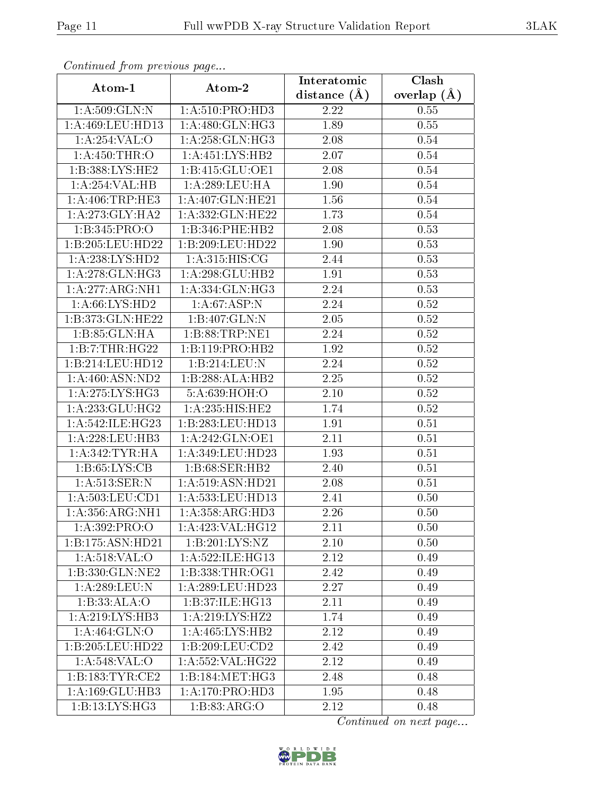| Continuea from previous page | Clash                        |                               |                 |
|------------------------------|------------------------------|-------------------------------|-----------------|
| Atom-1                       | Atom-2                       | Interatomic<br>distance $(A)$ | overlap $(\AA)$ |
| 1: A:509: GLN:N              | 1: A:510: PRO:HD3            | 2.22                          | 0.55            |
| 1:A:469:LEU:H <sub>D13</sub> | 1: A:480: GLN: HG3           | 1.89                          | 0.55            |
| 1: A:254:VAL:O               | 1:A:258:GLN:HG3              | 2.08                          | 0.54            |
| 1:A:450:THR:O                | 1: A: 451: LYS: HB2          | 2.07                          | 0.54            |
| 1:B:388:LYS:HE2              | 1:B:415:GLU:OE1              | 2.08                          | 0.54            |
| 1:A:254:VAL:HB               | 1:A:289:LEU:HA               | 1.90                          | 0.54            |
| 1: A:406:TRP:HE3             | 1:A:407:GLN:HE21             | 1.56                          | 0.54            |
| 1:A:273:GLY:HA2              | 1:A:332:GLN:HE22             | 1.73                          | 0.54            |
| 1:B:345:PRO:O                | 1:B:346:PHE:HB2              | 2.08                          | 0.53            |
| 1:B:205:LEU:HD22             | 1:B:209:LEU:HD22             | 1.90                          | 0.53            |
| 1:A:238:LYS:HD2              | 1: A:315: HIS: CG            | 2.44                          | 0.53            |
| 1:A:278:GLN:HG3              | 1:A:298:GLU:HB2              | 1.91                          | 0.53            |
| 1:A:277:ARG:NH1              | $1:A:334:\overline{GLN:HG3}$ | 2.24                          | 0.53            |
| 1: A:66: LYS:HD2             | 1: A:67:ASP:N                | 2.24                          | 0.52            |
| 1:B:373:GLN:HE22             | 1:B:407:GLN:N                | 2.05                          | 0.52            |
| 1:B:85:GLN:HA                | 1:B:88:TRP:NE1               | 2.24                          | 0.52            |
| 1:B:7:THR:HG22               | 1:B:119:PRO:HB2              | 1.92                          | $0.52\,$        |
| 1:B:214:LEU:HD12             | 1:B:214:LEU:N                | 2.24                          | 0.52            |
| 1:A:460:ASN:ND2              | 1:B:288:ALA:HB2              | 2.25                          | $0.52\,$        |
| 1: A:275: LYS: HG3           | 5:A:639:HOH:O                | 2.10                          | 0.52            |
| 1: A: 233: GLU: HG2          | 1: A:235: HIS: HE2           | 1.74                          | 0.52            |
| 1: A:542: ILE: HG23          | 1:B:283:LEU:HD13             | 1.91                          | 0.51            |
| 1:A:228:LEU:HB3              | 1: A:242: GLN:OE1            | 2.11                          | 0.51            |
| 1: A:342:TYR:HA              | 1:A:349:LEU:HD23             | 1.93                          | 0.51            |
| 1:B:65:LYS:CB                | 1:B:68:SER:HB2               | 2.40                          | 0.51            |
| 1: A:513: SER: N             | 1:A:519:ASN:HD21             | 2.08                          | 0.51            |
| $1:$ A:503:LEU:CD1           | 1:A:533:LEU:HD13             | 2.41                          | 0.50            |
| 1:A:356:ARG:NH1              | 1:A:358:ARG:HD3              | 2.26                          | 0.50            |
| 1: A:392: PRO:O              | 1:A:423:VAL:HG12             | 2.11                          | 0.50            |
| 1:B:175:ASN:HD21             | 1:B:201:LYS:NZ               | 2.10                          | 0.50            |
| 1: A:518: VAL:O              | 1: A:522: ILE: HG13          | 2.12                          | 0.49            |
| 1:B:330:GLN:NE2              | 1:B:338:THR:OG1              | 2.42                          | 0.49            |
| 1:A:289:LEU: N               | 1: A:289:LEU:HD23            | 2.27                          | 0.49            |
| 1:B:33:ALA:O                 | 1:B:37:ILE:HG13              | 2.11                          | 0.49            |
| 1: A:219: LYS: HB3           | 1: A:219: LYS: HZ2           | 1.74                          | 0.49            |
| 1:A:464:GLN:O                | 1:A:465:LYS:HB2              | 2.12                          | 0.49            |
| 1:B:205:LEU:HD22             | 1:B:209:LEU:CD2              | 2.42                          | 0.49            |
| 1:A:548:VAL:O                | 1:A:552:VAL:HG22             | 2.12                          | 0.49            |
| 1:B:183:TYR:CE2              | 1: B: 184: MET: HG3          | 2.48                          | 0.48            |
| 1:A:169:GLU:HB3              | 1:A:170:PRO:HD3              | 1.95                          | 0.48            |
| 1:B:13:LYS:HG3               | 1: B: 83: ARG: O             | 2.12                          | 0.48            |

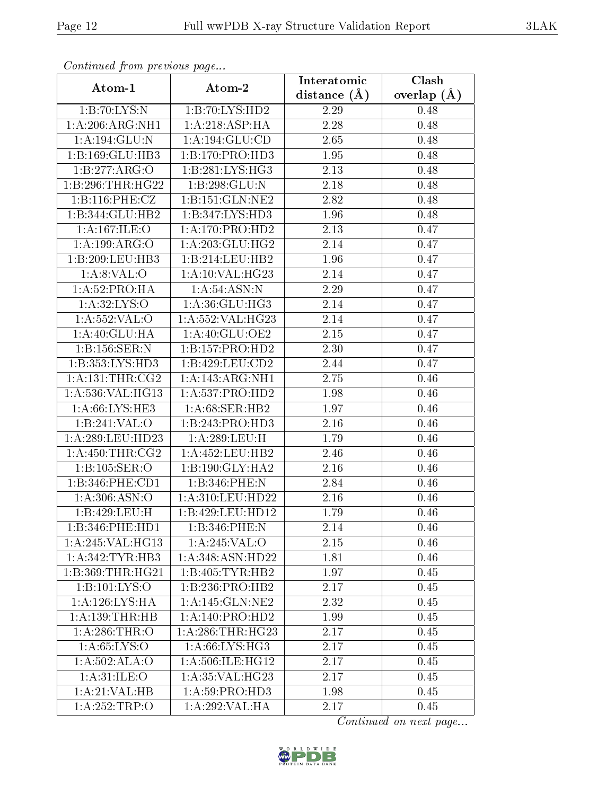| Continuea from previous page |                     | Interatomic       | Clash           |
|------------------------------|---------------------|-------------------|-----------------|
| Atom-1                       | Atom-2              | distance $(A)$    | overlap $(\AA)$ |
| 1:B:70:LYS:N                 | 1:B:70:LYS:HD2      | 2.29              | 0.48            |
| 1:A:206:ARG:NH1              | 1:A:218:ASP:HA      | $\overline{2}.28$ | 0.48            |
| 1: A: 194: GLU:N             | 1: A: 194: GLU: CD  | 2.65              | 0.48            |
| 1:B:169:GLU:HB3              | 1:B:170:PRO:HD3     | 1.95              | 0.48            |
| 1:B:277:ARG:O                | 1:B:281:LYS:HG3     | 2.13              | 0.48            |
| 1:B:296:THR:HG22             | 1:B:298:GLU:N       | 2.18              | 0.48            |
| 1:B:116:PHE:CZ               | 1:B:151:GLN:NE2     | 2.82              | 0.48            |
| 1:B:344:GLU:HB2              | 1:B:347:LYS:HD3     | 1.96              | 0.48            |
| 1: A:167: ILE: O             | 1:A:170:PRO:HD2     | 2.13              | 0.47            |
| 1:A:199:ARG:O                | 1: A:203: GLU:HG2   | 2.14              | 0.47            |
| 1:B:209:LEU:HB3              | 1:B:214:LEU:HB2     | 1.96              | 0.47            |
| 1: A:8: VAL:O                | 1: A:10: VAL:HG23   | 2.14              | 0.47            |
| 1:A:52:PRO:HA                | 1: A:54: ASN:N      | 2.29              | 0.47            |
| 1:A:32:LYS:O                 | 1:A:36:GLU:HG3      | 2.14              | 0.47            |
| 1:A:552:VAL:O                | 1:A:552:VAL:HG23    | 2.14              | 0.47            |
| 1: A:40: GLU:HA              | 1:A:40:GLU:OE2      | 2.15              | 0.47            |
| 1:B:156:SER:N                | 1:B:157:PRO:HD2     | 2.30              | 0.47            |
| 1:B:353:LYS:HD3              | 1:B:429:LEU:CD2     | 2.44              | 0.47            |
| 1: A: 131: THE: CG2          | 1:A:143:ARG:NH1     | 2.75              | 0.46            |
| 1:A:536:VAL:HG13             | 1: A: 537: PRO: HD2 | 1.98              | 0.46            |
| 1: A:66: LYS: HE3            | 1: A:68: SER:HB2    | 1.97              | 0.46            |
| 1:B:241:VAL:O                | 1:B:243:PRO:HD3     | 2.16              | 0.46            |
| 1: A:289:LEU:HD23            | 1:A:289:LEU:H       | 1.79              | 0.46            |
| 1: A: 450: THR: CG2          | 1:A:452:LEU:HB2     | 2.46              | 0.46            |
| 1:B:105:SER:O                | 1:B:190:GLY:HA2     | 2.16              | 0.46            |
| 1:B:346:PHE:CD1              | 1:B:346:PHE:N       | 2.84              | 0.46            |
| 1: A:306: ASN:O              | 1: A:310:LEU:HD22   | 2.16              | 0.46            |
| 1:B:429:LEU:H                | 1:B:429:LEU:HD12    | 1.79              | 0.46            |
| 1:B:346:PHE:HD1              | 1:B:346:PHE:N       | 2.14              | 0.46            |
| 1:A:245:VAL:HG13             | 1:A:245:VAL:O       | 2.15              | 0.46            |
| 1: A:342:TYR:HB3             | 1:A:348:ASN:HD22    | 1.81              | 0.46            |
| 1:B:369:THR:HG21             | 1:B:405:TYR:HB2     | 1.97              | 0.45            |
| 1:B:101:LYS:O                | 1:B:236:PRO:HB2     | 2.17              | 0.45            |
| 1: A:126: LYS: HA            | 1:A:145:GLN:NE2     | 2.32              | 0.45            |
| 1: A: 139: THR: HB           | 1:A:140:PRO:HD2     | 1.99              | 0.45            |
| 1: A:286:THR:O               | 1: A:286:THR:HG23   | 2.17              | 0.45            |
| 1: A:65:LYS:O                | 1: A:66: LYS: HG3   | 2.17              | 0.45            |
| 1: A:502: ALA:O              | 1:A:506:ILE:HG12    | 2.17              | 0.45            |
| 1: A:31: ILE: O              | 1: A:35: VAL:HG23   | 2.17              | 0.45            |
| 1: A:21:VAL:HB               | 1: A:59: PRO:HD3    | 1.98              | 0.45            |
| 1:A:252:TRP:O                | 1:A:292:VAL:HA      | 2.17              | 0.45            |

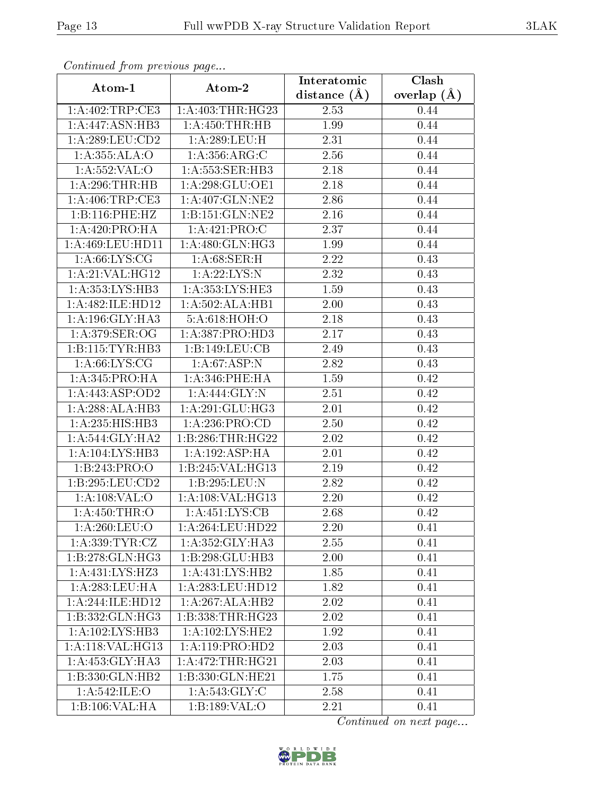| сонинией јтот ртеvиоиз раде |                              | Clash<br>Interatomic |               |  |
|-----------------------------|------------------------------|----------------------|---------------|--|
| Atom-1                      | Atom-2                       | distance $(A)$       | overlap $(A)$ |  |
| 1:A:402:TRP:CE3             | 1: A:403:THR:HG23            | 2.53                 | 0.44          |  |
| 1:A:447:ASN:HB3             | 1: A: 450: THR: HB           | 1.99                 | 0.44          |  |
| 1: A:289:LEU:CD2            | 1: A:289:LEU:H               | 2.31                 | 0.44          |  |
| 1:A:355:ALA:O               | 1: A: 356: ARG: C            | 2.56                 | 0.44          |  |
| 1:A:552:VAL:O               | 1: A: 553: SER: HB3          | 2.18                 | 0.44          |  |
| 1:A:296:THR:HB              | 1:A:298:GLU:OE1              | 2.18                 | 0.44          |  |
| 1:A:406:TRP:CE3             | 1:A:407:GLN:NE2              | 2.86                 | 0.44          |  |
| 1:B:116:PHE:HZ              | 1:B:151:GLN:NE2              | 2.16                 | 0.44          |  |
| 1: A:420: PRO:HA            | 1: A: 421: PRO: C            | 2.37                 | 0.44          |  |
| 1:A:469:LEU:HD11            | $1:A:480:GLN:H\overline{G3}$ | 1.99                 | 0.44          |  |
| 1: A:66: LYS: CG            | 1:A:68:SER:H                 | 2.22                 | 0.43          |  |
| 1:A:21:VAL:HG12             | 1: A:22:LYS:N                | 2.32                 | 0.43          |  |
| 1:A:353:LYS:HB3             | 1:A:353:LYS:HE3              | 1.59                 | 0.43          |  |
| 1:A:482:ILE:HD12            | 1:A:502:ALA:HB1              | 2.00                 | 0.43          |  |
| 1: A:196: GLY:HA3           | 5:A:618:HOH:O                | 2.18                 | 0.43          |  |
| 1: A:379: SER:OG            | 1:A:387:PRO:HD3              | 2.17                 | 0.43          |  |
| 1:B:115:TYR:HB3             | 1:B:149:LEU:CB               | 2.49                 | 0.43          |  |
| 1: A:66: LYS: CG            | 1: A:67:ASP:N                | 2.82                 | 0.43          |  |
| 1:A:345:PRO:HA              | 1:A:346:PHE:HA               | 1.59                 | 0.42          |  |
| 1:A:443:ASP:OD2             | 1:A:444:GLY:N                | 2.51                 | 0.42          |  |
| 1:A:288:ALA:HB3             | 1:A:291:GLU:HG3              | 2.01                 | 0.42          |  |
| 1:A:235:HIS:HB3             | 1: A:236: PRO:CD             | 2.50                 | 0.42          |  |
| 1: A:544: GLY:HA2           | 1:B:286:THR:HG22             | 2.02                 | 0.42          |  |
| 1:A:104:LYS:HB3             | 1:A:192:ASP:HA               | 2.01                 | 0.42          |  |
| 1:B:243:PRO:O               | 1:B:245:VAL:HG13             | 2.19                 | 0.42          |  |
| 1:B:295:LEU:CD2             | 1:B:295:LEU:N                | 2.82                 | 0.42          |  |
| 1:A:108:VAL:O               | 1:A:108:VAL:HG13             | 2.20                 | 0.42          |  |
| $1:$ A:450:THR:O            | 1: A: 451: LYS: CB           | 2.68                 | 0.42          |  |
| 1: A:260:LEU:O              | 1:A:264:LEU:HD22             | 2.20                 | 0.41          |  |
| 1: A: 339: TYR: CZ          | 1: A:352: GLY:HA3            | 2.55                 | 0.41          |  |
| 1:B:278:GLN:HG3             | 1:B:298:GLU:HB3              | 2.00                 | 0.41          |  |
| 1: A: 431: LYS: HZ3         | 1: A: 431: LYS: HB2          | 1.85                 | 0.41          |  |
| 1: A:283:LEU:HA             | 1:A:283:LEU:HD12             | 1.82                 | 0.41          |  |
| 1:A:244:ILE:HD12            | 1:A:267:ALA:HB2              | 2.02                 | 0.41          |  |
| 1:B:332:GLN:HG3             | 1:B:338:THR:HG23             | 2.02                 | 0.41          |  |
| 1: A:102:LYS:HB3            | 1: A:102:LYS:HE2             | 1.92                 | 0.41          |  |
| 1:A:118:VAL:HG13            | 1:A:119:PRO:HD2              | 2.03                 | 0.41          |  |
| 1: A: 453: GLY: HA3         | 1: A:472:THR:HG21            | 2.03                 | 0.41          |  |
| 1:B:330:GLN:HB2             | 1:B:330:GLN:HE21             | 1.75                 | 0.41          |  |
| 1:A:542:ILE:O               | 1: A:543: GLY: C             | 2.58                 | 0.41          |  |
| 1:B:106:VAL:HA              | 1:B:189:VAL:O                | 2.21                 | 0.41          |  |

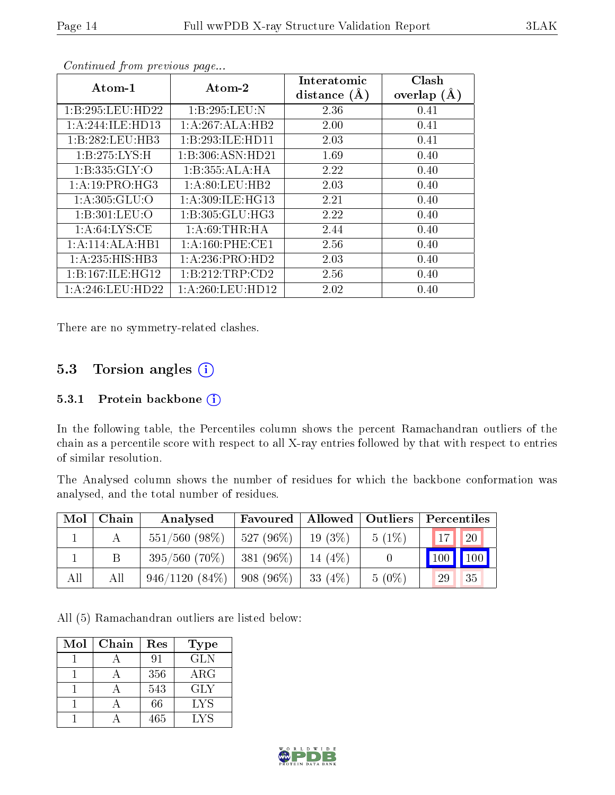| $Atom-1$         | Atom-2              | Interatomic      | Clash         |
|------------------|---------------------|------------------|---------------|
|                  |                     | distance $(\AA)$ | overlap $(A)$ |
| 1:B:295:LEU:HD22 | 1:B:295:LEU:N       | 2.36             | 0.41          |
| 1:A:244:ILE:HD13 | 1:A:267:ALA:HB2     | 2.00             | 0.41          |
| 1:B:282:LEU:HB3  | 1:B:293:ILE:HD11    | 2.03             | 0.41          |
| 1:B:275:LYS:H    | 1:B:306:ASN:HD21    | 1.69             | 0.40          |
| 1: B: 335: GLY:O | 1:B:355:ALA:HA      | 2.22             | 0.40          |
| 1:A:19:PRO:HG3   | 1: A:80:LEU:HB2     | 2.03             | 0.40          |
| 1: A:305: GLU:O  | 1: A:309: ILE: HG13 | 2.21             | 0.40          |
| 1:B:301:LEU:O    | 1: B: 305: GLU: HG3 | 2.22             | 0.40          |
| 1: A:64: LYS:CE  | 1: A:69:THR:HA      | 2.44             | 0.40          |
| 1:A:114:ALA:HB1  | 1: A:160: PHE:CE1   | 2.56             | 0.40          |
| 1:A:235:HIS:HBB3 | 1:A:236:PRO:HD2     | 2.03             | 0.40          |
| 1:B:167:ILE:HG12 | 1:B:212:TRP:CD2     | 2.56             | 0.40          |
| 1:A:246:LEU:HD22 | 1: A:260:LEU:HD12   | 2.02             | 0.40          |

There are no symmetry-related clashes.

## 5.3 Torsion angles  $(i)$

#### 5.3.1 Protein backbone (i)

In the following table, the Percentiles column shows the percent Ramachandran outliers of the chain as a percentile score with respect to all X-ray entries followed by that with respect to entries of similar resolution.

The Analysed column shows the number of residues for which the backbone conformation was analysed, and the total number of residues.

| Mol | Chain | Analysed         | Favoured     | Allowed   Outliers |          | Percentiles                  |
|-----|-------|------------------|--------------|--------------------|----------|------------------------------|
|     |       | $551/560$ (98\%) | $527(96\%)$  | $19(3\%)$          | $5(1\%)$ | <b>20</b><br>17 <sup>1</sup> |
|     |       | $395/560(70\%)$  | 381 (96%)    | $14(4\%)$          |          | 100<br>100                   |
| All | All   | $946/1120(84\%)$ | $1908(96\%)$ | 33 $(4%)$          | $5(0\%)$ | 29<br>35                     |

All (5) Ramachandran outliers are listed below:

| Mol | Chain | Res | <b>Type</b> |
|-----|-------|-----|-------------|
|     |       | 91  | <b>GLN</b>  |
|     |       | 356 | $\rm{ARG}$  |
|     |       | 543 | GLY         |
|     |       | 66  | LYS         |
|     |       | 465 | LYS         |

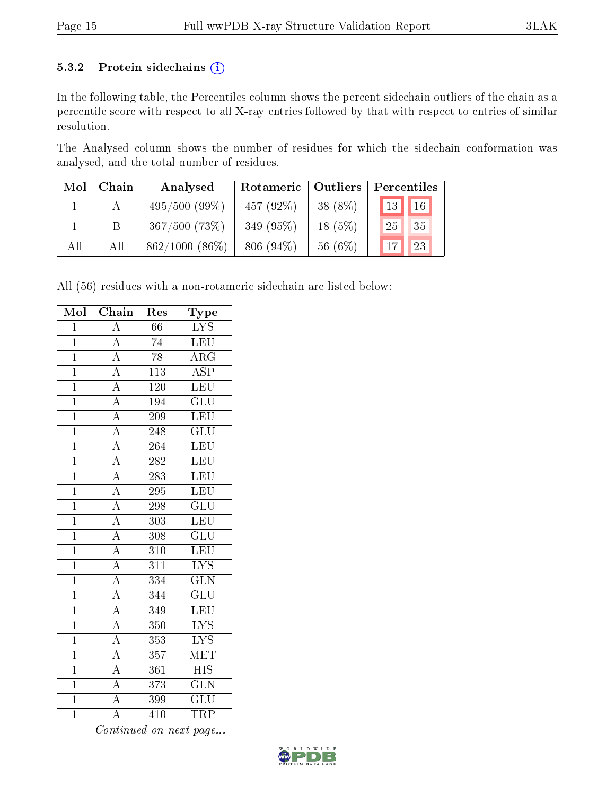#### 5.3.2 Protein sidechains (i)

In the following table, the Percentiles column shows the percent sidechain outliers of the chain as a percentile score with respect to all X-ray entries followed by that with respect to entries of similar resolution.

The Analysed column shows the number of residues for which the sidechain conformation was analysed, and the total number of residues.

| Mol | Chain | Analysed           | Rotameric   Outliers |           | Percentiles     |
|-----|-------|--------------------|----------------------|-----------|-----------------|
|     |       | $495/500(99\%)$    | 457 $(92\%)$         | 38 (8%)   | $16 \mid$<br>13 |
|     |       | $367/500$ $(73\%)$ | 349 (95%)            | $18(5\%)$ | 35<br>25        |
| All | All   | $862/1000(86\%)$   | $806(94\%)$          | 56 (6%)   | 23              |

All (56) residues with a non-rotameric sidechain are listed below:

| Mol            | Chain                               | Res              | Type                    |
|----------------|-------------------------------------|------------------|-------------------------|
| $\overline{1}$ | $\overline{A}$                      | 66               | $\overline{\text{LYS}}$ |
| $\overline{1}$ | $\overline{A}$                      | $\overline{74}$  | LEU                     |
| $\overline{1}$ | $\frac{\overline{A}}{A}$            | $\overline{78}$  | $\overline{\rm ARG}$    |
| $\overline{1}$ |                                     | 113              | $\overline{\text{ASP}}$ |
| $\overline{1}$ | $\frac{\overline{A}}{\overline{A}}$ | <b>120</b>       | LEU                     |
| $\overline{1}$ |                                     | 194              | $\overline{\text{GLU}}$ |
| $\overline{1}$ | $\overline{A}$                      | $\overline{209}$ | LEU                     |
| $\overline{1}$ | $\frac{\overline{A}}{A}$            | 248              | $\overline{\text{GLU}}$ |
| $\overline{1}$ |                                     | 264              | LEU                     |
| $\overline{1}$ | $\overline{A}$                      | $\overline{282}$ | LEU                     |
| $\overline{1}$ | $\overline{A}$                      | 283              | LEU                     |
| $\overline{1}$ | $\overline{A}$                      | 295              | LEU                     |
| $\overline{1}$ | $\overline{A}$                      | 298              | $\overline{\text{GLU}}$ |
| $\overline{1}$ | $\overline{A}$                      | $\overline{303}$ | $\overline{\text{LEU}}$ |
| $\overline{1}$ | $\frac{\overline{A}}{A}$            | 308              | $\overline{\text{GLU}}$ |
| $\overline{1}$ |                                     | 310              | LEU                     |
| $\overline{1}$ | $\overline{A}$                      | $\overline{311}$ | $\overline{\text{LYS}}$ |
| $\overline{1}$ | $\frac{1}{\mathbf{A}}$              | 334              | $\rm G\overline{LN}$    |
| $\overline{1}$ | $\frac{\overline{A}}{\overline{A}}$ | $\overline{344}$ | $\overline{\text{GLU}}$ |
| $\overline{1}$ |                                     | 349              | LEU                     |
| $\overline{1}$ | $\overline{A}$                      | $3\,50$          | $\overline{\text{LYS}}$ |
| $\overline{1}$ | $\overline{A}$                      | 353              | $\overline{\text{LYS}}$ |
| $\mathbf{1}$   | $\overline{A}$                      | $\overline{357}$ | $\overline{\text{MET}}$ |
| $\overline{1}$ | $\overline{A}$                      | 361              | $\overline{HIS}$        |
| $\overline{1}$ | $\frac{\overline{A}}{\overline{A}}$ | 373              | $\overline{\text{GLN}}$ |
| $\overline{1}$ |                                     | 399              | $\overline{{\rm GLU}}$  |
| $\overline{1}$ | $\overline{\rm A}$                  | 410              | <b>TRP</b>              |

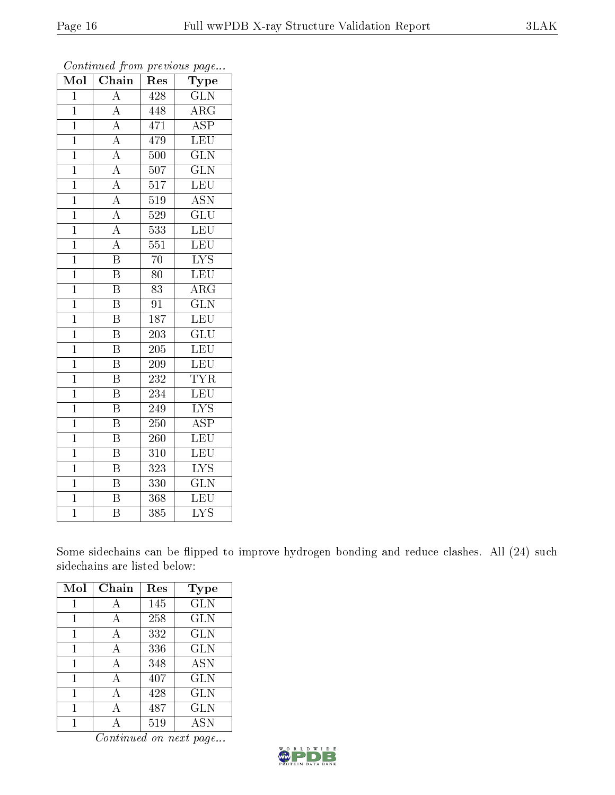| Mol            | $\overline{\text{C}}$ hain          | Res              | Type                      |
|----------------|-------------------------------------|------------------|---------------------------|
| $\overline{1}$ | $\overline{A}$                      | 428              | GLN                       |
| $\mathbf{1}$   | $\overline{\rm A}$                  | 448              | $\rm{ARG}$                |
| $\overline{1}$ | $\overline{A}$                      | 471              | $\overline{\rm ASP}$      |
| $\mathbf{1}$   | $\overline{A}$                      | 479              | $\overline{\text{LEU}}$   |
| $\overline{1}$ | $\overline{A}$                      | 500              | $\overline{\text{GLN}}$   |
| $\overline{1}$ | $\overline{A}$                      | 507              | $\overline{\text{GLN}}$   |
| $\overline{1}$ | $\overline{A}$                      | 517              | $\overline{\text{LEU}}$   |
| $\mathbf{1}$   | $\overline{A}$                      | 519              | $\overline{\text{ASN}}$   |
| $\mathbf{1}$   | $\frac{\overline{A}}{\overline{A}}$ | 529              | $\overline{\text{GLU}}$   |
| $\overline{1}$ |                                     | $\overline{5}33$ | $\overline{\text{LEU}}$   |
| $\overline{1}$ | $\overline{\rm A}$                  | 551              | LEU                       |
| $\mathbf{1}$   | $\overline{\mathrm{B}}$             | $\overline{70}$  | $\overline{\mathrm{LYS}}$ |
| $\overline{1}$ | $\overline{\mathrm{B}}$             | 80               | LEU                       |
| $\overline{1}$ | $\overline{\mathrm{B}}$             | 83               | $\rm{ARG}$                |
| $\overline{1}$ | $\overline{\mathrm{B}}$             | $\overline{91}$  | $\overline{\text{GLN}}$   |
| $\mathbf{1}$   | $\overline{\mathrm{B}}$             | 187              | $\overline{\text{LEU}}$   |
| $\overline{1}$ | $\overline{\mathrm{B}}$             | $\overline{203}$ | $\overline{\text{GLU}}$   |
| $\mathbf 1$    | $\overline{\rm B}$                  | 205              | LEU                       |
| $\mathbf{1}$   | $\overline{\rm B}$                  | 209              | LEU                       |
| $\mathbf{1}$   | $\overline{\mathrm{B}}$             | 232              | <b>TYR</b>                |
| $\overline{1}$ | $\overline{\mathrm{B}}$             | 234              | LEU                       |
| $\overline{1}$ | $\overline{\mathrm{B}}$             | 249              | $\overline{\text{LYS}}$   |
| $\overline{1}$ | $\overline{\mathrm{B}}$             | 250              | $\overline{\rm ASP}$      |
| $\overline{1}$ | $\overline{\mathrm{B}}$             | 260              | $\overline{\text{LEU}}$   |
| $\overline{1}$ | $\overline{\mathrm{B}}$             | 310              | $\overline{\text{LEU}}$   |
| $\overline{1}$ | $\overline{\mathrm{B}}$             | 323              | $\overline{\text{LYS}}$   |
| $\overline{1}$ | $\overline{\mathrm{B}}$             | 330              | $\overline{\text{GLN}}$   |
| $\mathbf 1$    | $\overline{\mathrm{B}}$             | 368              | LEU                       |
| $\overline{1}$ | $\overline{\mathrm{B}}$             | 385              | $\overline{\text{LYS}}$   |

Some sidechains can be flipped to improve hydrogen bonding and reduce clashes. All (24) such sidechains are listed below:

| Mol | Chain | Res | Type         |
|-----|-------|-----|--------------|
| 1   | А     | 145 | GLN          |
| 1   | А     | 258 | <b>GLN</b>   |
| 1   | А     | 332 | GLN          |
| 1   | A     | 336 | GLN          |
| 1   | А     | 348 | ASN          |
| 1   | A     | 407 | GLN          |
| 1   | А     | 428 | <b>GLN</b>   |
| 1   | А     | 487 | $_{\rm GLN}$ |
|     |       | 519 | <b>ASN</b>   |

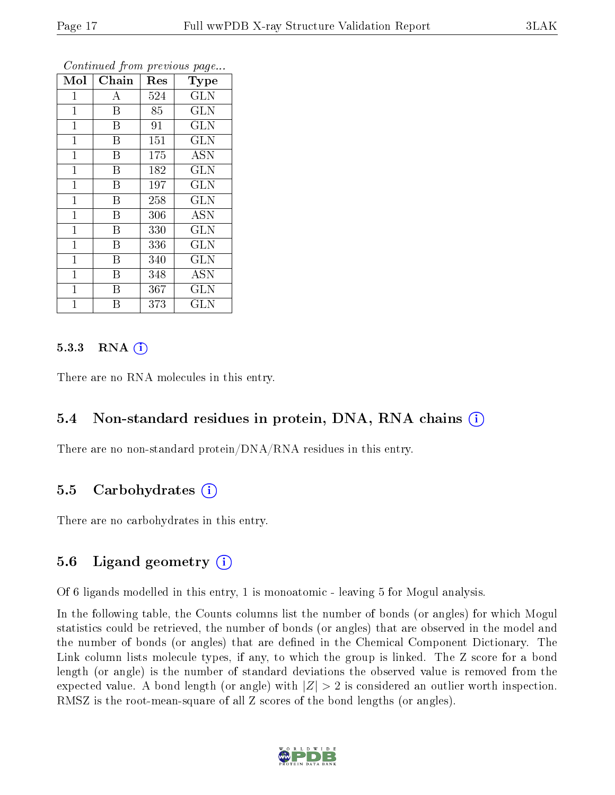| Mol          | Chain              | Res | Type              |
|--------------|--------------------|-----|-------------------|
| 1            | А                  | 524 | <b>GLN</b>        |
| $\mathbf{1}$ | $\overline{B}$     | 85  | <b>GLN</b>        |
| $\mathbf 1$  | B                  | 91  | <b>GLN</b>        |
| $\mathbf{1}$ | B                  | 151 | <b>GLN</b>        |
| $\mathbf{1}$ | B                  | 175 | $\overline{A}$ SN |
| $\mathbf 1$  | B                  | 182 | <b>GLN</b>        |
| $\mathbf{1}$ | B                  | 197 | GLN               |
| $\mathbf{1}$ | B                  | 258 | <b>GLN</b>        |
| 1            | B                  | 306 | <b>ASN</b>        |
| $\mathbf{1}$ | B                  | 330 | GLN               |
| $\mathbf{1}$ | B                  | 336 | <b>GLN</b>        |
| $\mathbf 1$  | B                  | 340 | <b>GLN</b>        |
| $\mathbf{1}$ | $\bar{\mathrm{B}}$ | 348 | <b>ASN</b>        |
| $\mathbf{1}$ | B                  | 367 | <b>GLN</b>        |
| 1            | В                  | 373 | GLN               |

#### $5.3.3$  RNA  $(i)$

There are no RNA molecules in this entry.

### 5.4 Non-standard residues in protein, DNA, RNA chains (i)

There are no non-standard protein/DNA/RNA residues in this entry.

#### 5.5 Carbohydrates  $(i)$

There are no carbohydrates in this entry.

### 5.6 Ligand geometry  $(i)$

Of 6 ligands modelled in this entry, 1 is monoatomic - leaving 5 for Mogul analysis.

In the following table, the Counts columns list the number of bonds (or angles) for which Mogul statistics could be retrieved, the number of bonds (or angles) that are observed in the model and the number of bonds (or angles) that are defined in the Chemical Component Dictionary. The Link column lists molecule types, if any, to which the group is linked. The Z score for a bond length (or angle) is the number of standard deviations the observed value is removed from the expected value. A bond length (or angle) with  $|Z| > 2$  is considered an outlier worth inspection. RMSZ is the root-mean-square of all Z scores of the bond lengths (or angles).

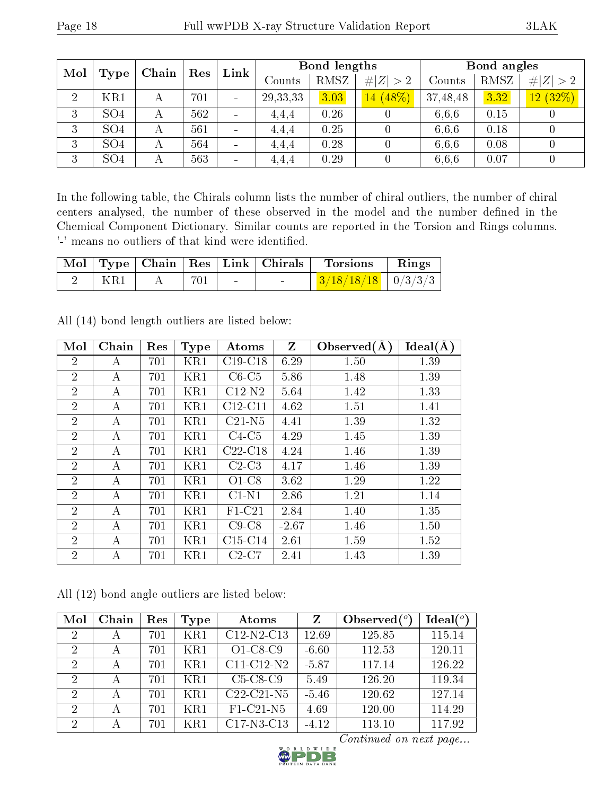| Mol |                 | Chain | Res | Link                         |                   | Bond lengths |             |          | Bond angles |             |
|-----|-----------------|-------|-----|------------------------------|-------------------|--------------|-------------|----------|-------------|-------------|
|     | Type            |       |     |                              | $\mathrm{Counts}$ | RMSZ         | # <br> Z >2 | Counts   | RMSZ        | # $ Z  > 2$ |
| 2   | KR1             | А     | 701 | $\sim$                       | 29, 33, 33        | 3.03         | $14(48\%)$  | 37,48,48 | 3.32        | 12(32%)     |
| 3   | SO <sub>4</sub> | А     | 562 | $\blacksquare$               | 4.4.4             | 0.26         |             | 6.6.6    | 0.15        |             |
| 3   | SO <sub>4</sub> | А     | 561 | $\sim$                       | 4.4.4             | 0.25         |             | 6.6.6    | 0.18        |             |
| 3   | SO <sub>4</sub> | Α     | 564 | $\overline{\phantom{0}}$     | 4.4.4             | 0.28         |             | 6.6.6    | 0.08        |             |
| 3   | SO <sub>4</sub> | А     | 563 | $\qquad \qquad \blacksquare$ | 4.4.4             | 0.29         |             | 6.6.6    | 0.07        |             |

In the following table, the Chirals column lists the number of chiral outliers, the number of chiral centers analysed, the number of these observed in the model and the number defined in the Chemical Component Dictionary. Similar counts are reported in the Torsion and Rings columns. '-' means no outliers of that kind were identified.

|     |     |                   | $\sqrt{\text{Mol} + \text{Type}} + \text{Chain} + \text{Res} + \text{Link} + \text{Chirals} + \text{Nol}$ | <b>Torsions</b>        | Rings |
|-----|-----|-------------------|-----------------------------------------------------------------------------------------------------------|------------------------|-------|
| KR1 | 701 | <b>Contractor</b> | $\sim$                                                                                                    | $3/18/18/18$   0/3/3/3 |       |

| Mol            | Chain | Res | <b>Type</b> | Atoms     | $\mathbf{Z}$ | Observed $(A)$ | Ideal(A) |
|----------------|-------|-----|-------------|-----------|--------------|----------------|----------|
| $\overline{2}$ | А     | 701 | KR1         | $C19-C18$ | 6.29         | 1.50           | 1.39     |
| $\overline{2}$ | A     | 701 | KR1         | $C6-C5$   | 5.86         | 1.48           | 1.39     |
| $\overline{2}$ | A     | 701 | KR1         | $C12-N2$  | 5.64         | 1.42           | 1.33     |
| $\overline{2}$ | А     | 701 | KR1         | $C12-C11$ | 4.62         | 1.51           | 1.41     |
| $\overline{2}$ | А     | 701 | KR1         | $C21-N5$  | 4.41         | 1.39           | 1.32     |
| $\overline{2}$ | А     | 701 | KR1         | $C4-C5$   | 4.29         | 1.45           | 1.39     |
| $\overline{2}$ | А     | 701 | KR1         | $C22-C18$ | 4.24         | 1.46           | 1.39     |
| $\overline{2}$ | А     | 701 | KR1         | $C2-C3$   | 4.17         | 1.46           | 1.39     |
| $\overline{2}$ | А     | 701 | KR1         | $O1-C8$   | 3.62         | 1.29           | 1.22     |
| $\overline{2}$ | А     | 701 | KR1         | $C1-N1$   | 2.86         | 1.21           | 1.14     |
| $\overline{2}$ | А     | 701 | KR1         | $F1-C21$  | 2.84         | 1.40           | 1.35     |
| $\overline{2}$ | А     | 701 | KR1         | $C9-C8$   | $-2.67$      | 1.46           | 1.50     |
| $\overline{2}$ | А     | 701 | KR1         | $C15-C14$ | 2.61         | 1.59           | 1.52     |
| $\overline{2}$ | А     | 701 | KR1         | $C2-C7$   | 2.41         | 1.43           | 1.39     |

All (14) bond length outliers are listed below:

All (12) bond angle outliers are listed below:

| Mol            | Chain | Res | Type | Atoms                                            | Z       | Observed $(°)$ | $\text{Ideal}({}^o)$ |
|----------------|-------|-----|------|--------------------------------------------------|---------|----------------|----------------------|
| $\overline{2}$ | А     | 701 | KR1  | $C12-N2-C13$                                     | 12.69   | 125.85         | 115.14               |
| $\overline{2}$ | А     | 701 | KR1  | $O1-C8-C9$                                       | $-6.60$ | 112.53         | 120.11               |
| $\overline{2}$ | А     | 701 | KR1  | $C11-C12-N2$                                     | $-5.87$ | 117.14         | 126.22               |
| $\overline{2}$ | А     | 701 | KR1  | $C5-C8-C9$                                       | 5.49    | 126.20         | 119.34               |
| 2              | А     | 701 | KR1  | $C22-C21-N5$                                     | $-5.46$ | 120.62         | 127.14               |
| $\overline{2}$ | А     | 701 | KR1  | F1-C21-N5                                        | 4.69    | 120.00         | 114.29               |
| $\overline{2}$ | А     | 701 | KR1  | C <sub>17</sub> -N <sub>3</sub> -C <sub>13</sub> | $-4.12$ | 113.10         | 117.92               |

R L D W I D E D B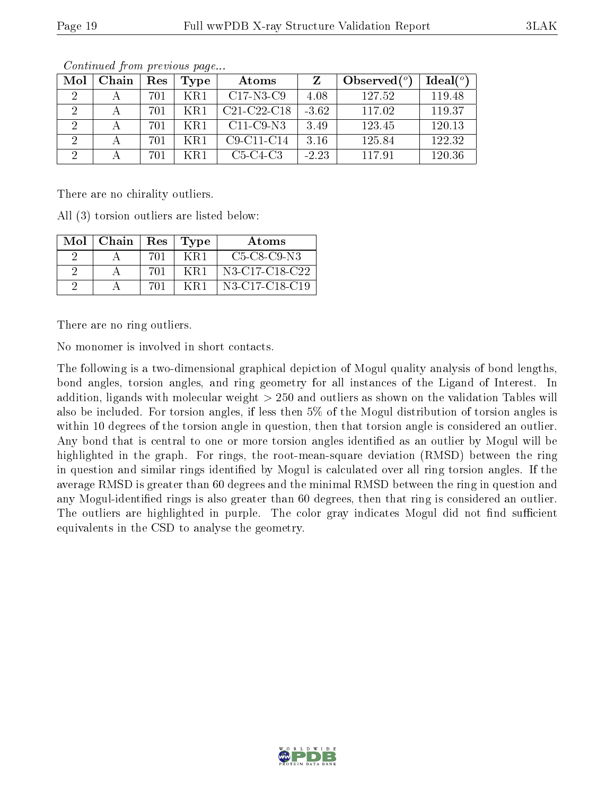| Mol                         | Chain | Res | <b>Type</b> | Atoms         |         | Observed $(°)$ | $Ideal(^o)$ |
|-----------------------------|-------|-----|-------------|---------------|---------|----------------|-------------|
| 2                           |       | 701 | KR1         | $C17-N3-C9$   | 4.08    | 127.52         | 119.48      |
| $\mathcal{D}_{\mathcal{L}}$ |       | 701 |             | $C21-C22-C18$ | $-3.62$ | 117.02         | 119.37      |
| 2                           |       | 701 | KR1         | $C11-C9-N3$   | 3.49    | 123.45         | 120.13      |
| 9                           |       | 701 | KR1         | $C9-C11-C14$  | 3.16    | 125.84         | 122.32      |
| 9                           |       | 701 | $K$ R1      | $C5-C4-C3$    | $-2.23$ | 117.91         | 120.36      |

Continued from previous page...

There are no chirality outliers.

All (3) torsion outliers are listed below:

| Mol | Chain   $\text{Res}$   $\text{Type}$ |     |     | Atoms          |
|-----|--------------------------------------|-----|-----|----------------|
|     |                                      | 701 | KR1 | $C5-C8-C9-N3$  |
|     |                                      | 701 | KR1 | N3-C17-C18-C22 |
|     |                                      | 701 | KR1 | N3-C17-C18-C19 |

There are no ring outliers.

No monomer is involved in short contacts.

The following is a two-dimensional graphical depiction of Mogul quality analysis of bond lengths, bond angles, torsion angles, and ring geometry for all instances of the Ligand of Interest. In addition, ligands with molecular weight > 250 and outliers as shown on the validation Tables will also be included. For torsion angles, if less then 5% of the Mogul distribution of torsion angles is within 10 degrees of the torsion angle in question, then that torsion angle is considered an outlier. Any bond that is central to one or more torsion angles identified as an outlier by Mogul will be highlighted in the graph. For rings, the root-mean-square deviation (RMSD) between the ring in question and similar rings identified by Mogul is calculated over all ring torsion angles. If the average RMSD is greater than 60 degrees and the minimal RMSD between the ring in question and any Mogul-identified rings is also greater than 60 degrees, then that ring is considered an outlier. The outliers are highlighted in purple. The color gray indicates Mogul did not find sufficient equivalents in the CSD to analyse the geometry.

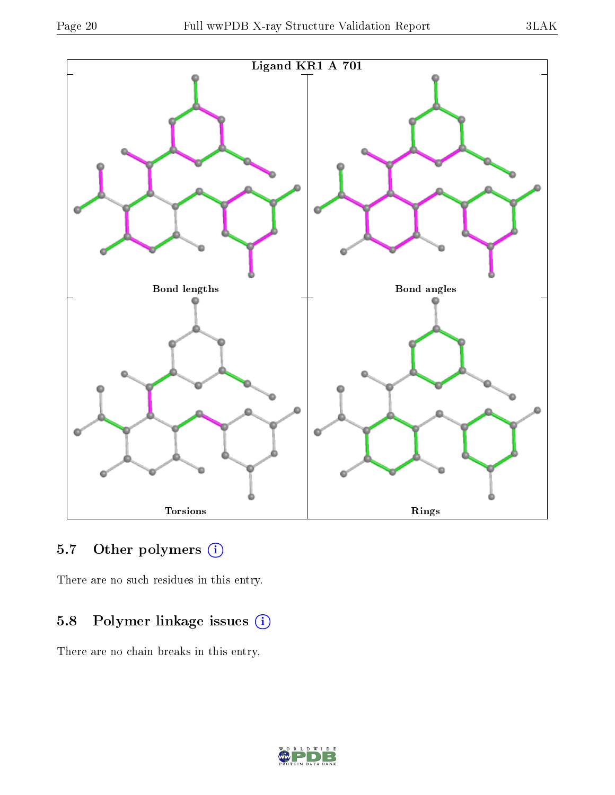

## 5.7 [O](https://www.wwpdb.org/validation/2017/XrayValidationReportHelp#nonstandard_residues_and_ligands)ther polymers (i)

There are no such residues in this entry.

## 5.8 Polymer linkage issues (i)

There are no chain breaks in this entry.

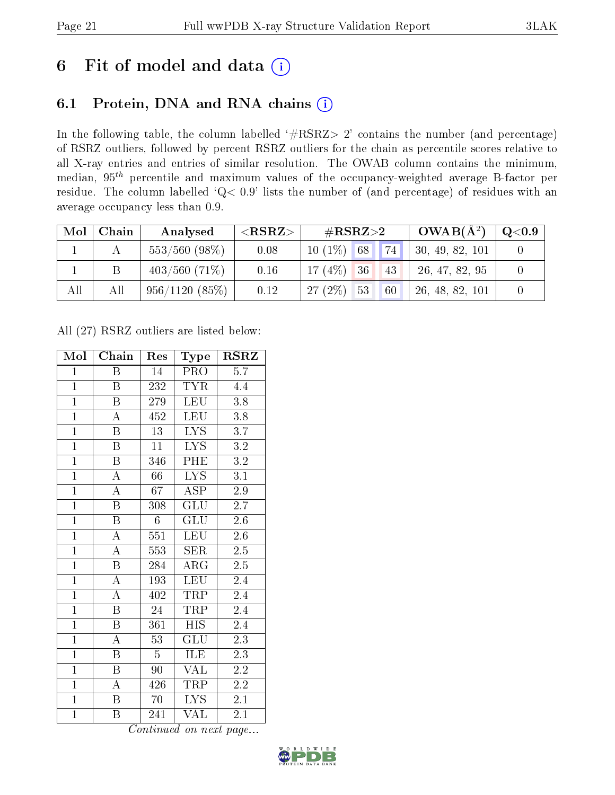# 6 Fit of model and data  $(i)$

## 6.1 Protein, DNA and RNA chains  $(i)$

In the following table, the column labelled  $#RSRZ> 2'$  contains the number (and percentage) of RSRZ outliers, followed by percent RSRZ outliers for the chain as percentile scores relative to all X-ray entries and entries of similar resolution. The OWAB column contains the minimum, median,  $95<sup>th</sup>$  percentile and maximum values of the occupancy-weighted average B-factor per residue. The column labelled ' $Q< 0.9$ ' lists the number of (and percentage) of residues with an average occupancy less than 0.9.

| Mol | Chain | Analysed         | ${ <\hspace{-1.5pt}{\mathrm{RSRZ}} \hspace{-1.5pt}>}$ | $\#\text{RSRZ}{>}2$               | $OWAB(A^2)$     | $\mathrm{Q}{<}0.9$ |
|-----|-------|------------------|-------------------------------------------------------|-----------------------------------|-----------------|--------------------|
|     |       | $553/560$ (98\%) | 0.08                                                  | $\mathbf{1}_{74}$<br>$10(1\%)$ 68 | 30, 49, 82, 101 |                    |
|     |       | $403/560(71\%)$  | 0.16                                                  | $17(4\%)$ 36<br>43                | 26, 47, 82, 95  |                    |
| All | All   | 956/1120(85%)    | 0.12                                                  | $27(2\%)$ 53<br>60                | 26, 48, 82, 101 |                    |

All (27) RSRZ outliers are listed below:

| Mol            | Chain                   | Res             | Type                                | $\rm RSRZ$       |
|----------------|-------------------------|-----------------|-------------------------------------|------------------|
| $\mathbf{1}$   | Β                       | 14              | PRO                                 | 5.7              |
| $\mathbf{1}$   | B                       | 232             | <b>TYR</b>                          | 4.4              |
| $\overline{1}$ | $\boldsymbol{B}$        | 279             | <b>LEU</b>                          | 3.8              |
| $\mathbf{1}$   | A                       | 452             | <b>LEU</b>                          | $3.8\,$          |
| $\overline{1}$ | $\overline{\mathrm{B}}$ | $\overline{13}$ | $\overline{\text{LYS}}$             | $\overline{3.7}$ |
| $\overline{1}$ | $\boldsymbol{B}$        | 11              | <b>LYS</b>                          | $\overline{3.2}$ |
| $\overline{1}$ | $\boldsymbol{B}$        | 346             | PHE                                 | $\!3.2\!$        |
| $\overline{1}$ | $\overline{\rm A}$      | 66              | $\overline{L}YS$                    | 3.1              |
| $\overline{1}$ | $\overline{\rm A}$      | 67              | ASP                                 | 2.9              |
| $\overline{1}$ | $\overline{\mathrm{B}}$ | 308             | $\overline{{\rm GLU}}$              | $\overline{2.7}$ |
| $\overline{1}$ | $\overline{\mathrm{B}}$ | $\overline{6}$  | GLU                                 | 2.6              |
| $\overline{1}$ | $\overline{\rm A}$      | 551             | <b>LEU</b>                          | $2.6\,$          |
| $\overline{1}$ | $\overline{\rm A}$      | 553             | SER                                 | $2.5\,$          |
| $\overline{1}$ | $\overline{\mathrm{B}}$ | 284             | $\rm{ARG}$                          | $2.\overline{5}$ |
| $\overline{1}$ | $\overline{\rm A}$      | 193             | LEU                                 | 2.4              |
| $\mathbf{1}$   | $\overline{\rm A}$      | 402             | TRP                                 | $2.4\,$          |
| $\overline{1}$ | $\overline{\mathrm{B}}$ | 24              | <b>TRP</b>                          | 2.4              |
| $\overline{1}$ | $\overline{B}$          | 361             | <b>HIS</b>                          | 2.4              |
| $\overline{1}$ | $\boldsymbol{A}$        | 53              | $\mathrm{GL} \overline{\mathrm{U}}$ | 2.3              |
| $\mathbf{1}$   | $\overline{\mathbf{B}}$ | $\overline{5}$  | <b>ILE</b>                          | 2.3              |
| $\overline{1}$ | $\boldsymbol{B}$        | 90              | <b>VAL</b>                          | 2.2              |
| $\overline{1}$ | А                       | 426             | TRP                                 | $\overline{2.2}$ |
| $\overline{1}$ | B                       | 70              | <b>LYS</b>                          | 2.1              |
| $\overline{1}$ | Β                       | 241             | VAL                                 | 2.1              |

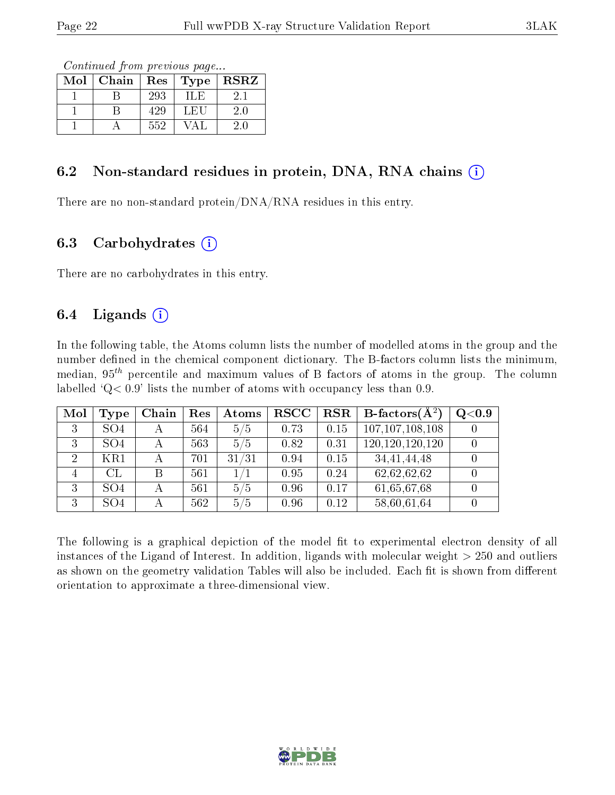Continued from previous page...

| Mol | Chain | Res <sub>1</sub> | Type   | <b>RSRZ</b> |
|-----|-------|------------------|--------|-------------|
|     |       | 293              | 3日 (日) |             |
|     |       | 429              | L ET ' | $2.0\,$     |
|     |       | 552              |        |             |

### 6.2 Non-standard residues in protein, DNA, RNA chains  $(i)$

There are no non-standard protein/DNA/RNA residues in this entry.

### 6.3 Carbohydrates  $(i)$

There are no carbohydrates in this entry.

## 6.4 Ligands  $(i)$

In the following table, the Atoms column lists the number of modelled atoms in the group and the number defined in the chemical component dictionary. The B-factors column lists the minimum, median,  $95<sup>th</sup>$  percentile and maximum values of B factors of atoms in the group. The column labelled  $Q< 0.9$ ' lists the number of atoms with occupancy less than 0.9.

| Mol | Type            | Chain                   | Res | Atoms | <b>RSCC</b> | <b>RSR</b> | B-factors $\overline{A^2}$ | Q <sub>0.9</sub> |
|-----|-----------------|-------------------------|-----|-------|-------------|------------|----------------------------|------------------|
| 3   | SO <sub>4</sub> | $\overline{\mathsf{A}}$ | 564 | 5/5   | 0.73        | 0.15       | 107, 107, 108, 108         |                  |
| 3   | SO <sub>4</sub> |                         | 563 | 5/5   | 0.82        | 0.31       | 120, 120, 120, 120         |                  |
| 2   | KR1             |                         | 701 | 31/31 | 0.94        | 0.15       | 34, 41, 44, 48             |                  |
|     | CL              | B                       | 561 |       | 0.95        | 0.24       | 62,62,62,62                |                  |
| 3   | SO <sub>4</sub> |                         | 561 | 5/5   | 0.96        | 0.17       | 61,65,67,68                |                  |
| Q   | SO <sub>4</sub> |                         | 562 | 5/5   | 0.96        | 0.12       | 58,60,61,64                |                  |

The following is a graphical depiction of the model fit to experimental electron density of all instances of the Ligand of Interest. In addition, ligands with molecular weight  $> 250$  and outliers as shown on the geometry validation Tables will also be included. Each fit is shown from different orientation to approximate a three-dimensional view.